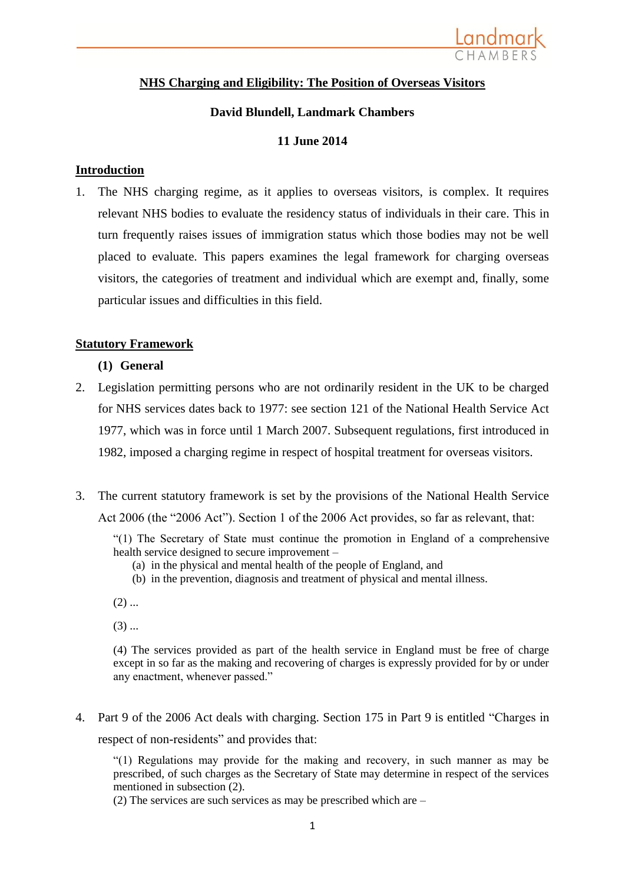

# **NHS Charging and Eligibility: The Position of Overseas Visitors**

### **David Blundell, Landmark Chambers**

# **11 June 2014**

### **Introduction**

1. The NHS charging regime, as it applies to overseas visitors, is complex. It requires relevant NHS bodies to evaluate the residency status of individuals in their care. This in turn frequently raises issues of immigration status which those bodies may not be well placed to evaluate. This papers examines the legal framework for charging overseas visitors, the categories of treatment and individual which are exempt and, finally, some particular issues and difficulties in this field.

### **Statutory Framework**

## **(1) General**

- 2. Legislation permitting persons who are not ordinarily resident in the UK to be charged for NHS services dates back to 1977: see section 121 of the National Health Service Act 1977, which was in force until 1 March 2007. Subsequent regulations, first introduced in 1982, imposed a charging regime in respect of hospital treatment for overseas visitors.
- 3. The current statutory framework is set by the provisions of the National Health Service Act 2006 (the "2006 Act"). Section 1 of the 2006 Act provides, so far as relevant, that:

"(1) The Secretary of State must continue the promotion in England of a comprehensive health service designed to secure improvement –

- (a) in the physical and mental health of the people of England, and
- (b) in the prevention, diagnosis and treatment of physical and mental illness.

 $(2)$  ...

 $(3)$  ...

(4) The services provided as part of the health service in England must be free of charge except in so far as the making and recovering of charges is expressly provided for by or under any enactment, whenever passed."

4. Part 9 of the 2006 Act deals with charging. Section 175 in Part 9 is entitled "Charges in respect of non-residents" and provides that:

"(1) Regulations may provide for the making and recovery, in such manner as may be prescribed, of such charges as the Secretary of State may determine in respect of the services mentioned in subsection (2).

(2) The services are such services as may be prescribed which are –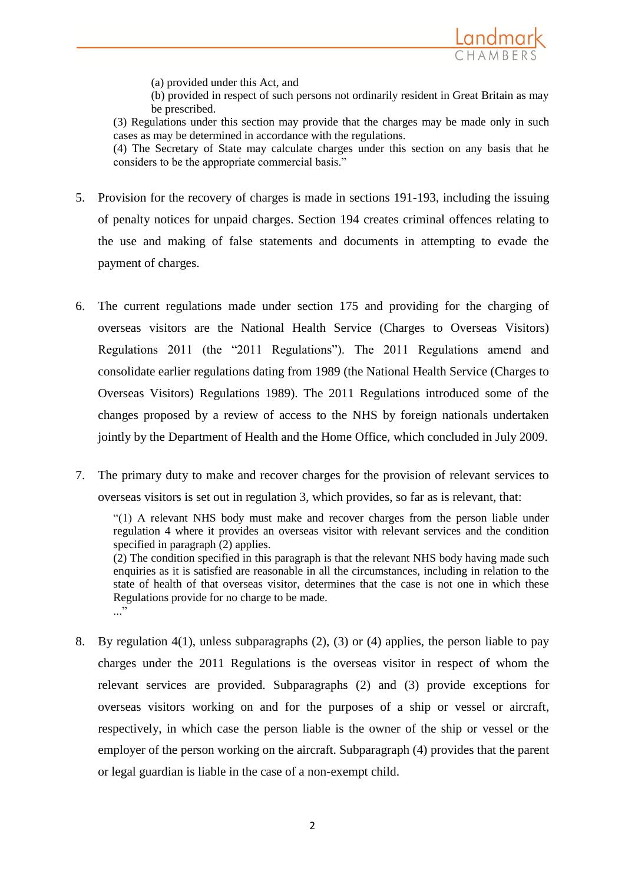

(a) provided under this Act, and

(b) provided in respect of such persons not ordinarily resident in Great Britain as may be prescribed.

(3) Regulations under this section may provide that the charges may be made only in such cases as may be determined in accordance with the regulations.

(4) The Secretary of State may calculate charges under this section on any basis that he considers to be the appropriate commercial basis."

- 5. Provision for the recovery of charges is made in sections 191-193, including the issuing of penalty notices for unpaid charges. Section 194 creates criminal offences relating to the use and making of false statements and documents in attempting to evade the payment of charges.
- 6. The current regulations made under section 175 and providing for the charging of overseas visitors are the National Health Service (Charges to Overseas Visitors) Regulations 2011 (the "2011 Regulations"). The 2011 Regulations amend and consolidate earlier regulations dating from 1989 (the National Health Service (Charges to Overseas Visitors) Regulations 1989). The 2011 Regulations introduced some of the changes proposed by a review of access to the NHS by foreign nationals undertaken jointly by the Department of Health and the Home Office, which concluded in July 2009.
- 7. The primary duty to make and recover charges for the provision of relevant services to overseas visitors is set out in regulation 3, which provides, so far as is relevant, that:

"(1) A relevant NHS body must make and recover charges from the person liable under regulation 4 where it provides an overseas visitor with relevant services and the condition specified in paragraph (2) applies. (2) The condition specified in this paragraph is that the relevant NHS body having made such enquiries as it is satisfied are reasonable in all the circumstances, including in relation to the state of health of that overseas visitor, determines that the case is not one in which these Regulations provide for no charge to be made.  $\cdot$ ..."

8. By regulation 4(1), unless subparagraphs (2), (3) or (4) applies, the person liable to pay charges under the 2011 Regulations is the overseas visitor in respect of whom the relevant services are provided. Subparagraphs (2) and (3) provide exceptions for overseas visitors working on and for the purposes of a ship or vessel or aircraft, respectively, in which case the person liable is the owner of the ship or vessel or the employer of the person working on the aircraft. Subparagraph (4) provides that the parent or legal guardian is liable in the case of a non-exempt child.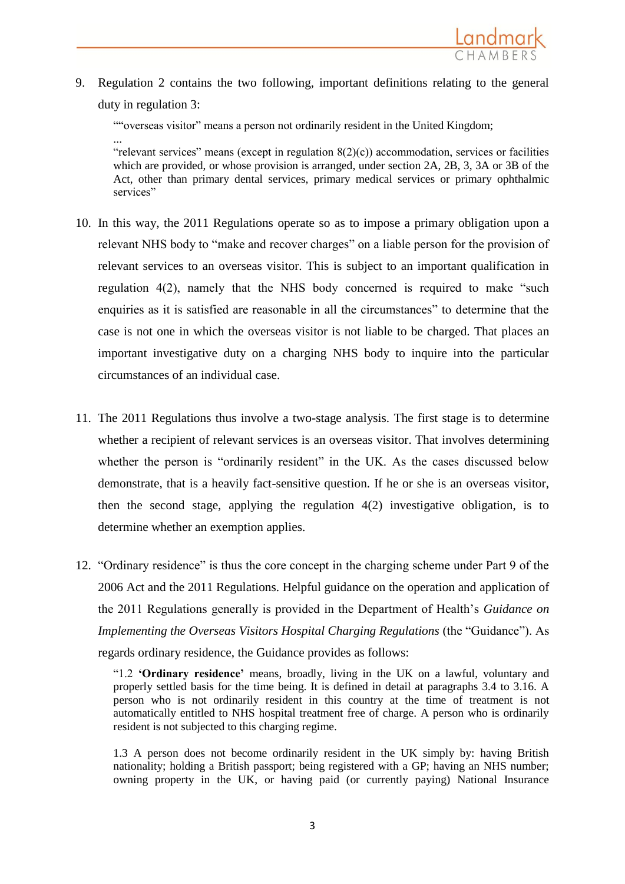

9. Regulation 2 contains the two following, important definitions relating to the general duty in regulation 3:

""overseas visitor" means a person not ordinarily resident in the United Kingdom;

... "relevant services" means (except in regulation  $8(2)(c)$ ) accommodation, services or facilities which are provided, or whose provision is arranged, under section 2A, 2B, 3, 3A or 3B of the Act, other than primary dental services, primary medical services or primary ophthalmic services"

- 10. In this way, the 2011 Regulations operate so as to impose a primary obligation upon a relevant NHS body to "make and recover charges" on a liable person for the provision of relevant services to an overseas visitor. This is subject to an important qualification in regulation 4(2), namely that the NHS body concerned is required to make "such enquiries as it is satisfied are reasonable in all the circumstances" to determine that the case is not one in which the overseas visitor is not liable to be charged. That places an important investigative duty on a charging NHS body to inquire into the particular circumstances of an individual case.
- 11. The 2011 Regulations thus involve a two-stage analysis. The first stage is to determine whether a recipient of relevant services is an overseas visitor. That involves determining whether the person is "ordinarily resident" in the UK. As the cases discussed below demonstrate, that is a heavily fact-sensitive question. If he or she is an overseas visitor, then the second stage, applying the regulation 4(2) investigative obligation, is to determine whether an exemption applies.
- 12. "Ordinary residence" is thus the core concept in the charging scheme under Part 9 of the 2006 Act and the 2011 Regulations. Helpful guidance on the operation and application of the 2011 Regulations generally is provided in the Department of Health's *Guidance on Implementing the Overseas Visitors Hospital Charging Regulations* (the "Guidance"). As regards ordinary residence, the Guidance provides as follows:

"1.2 **'Ordinary residence'** means, broadly, living in the UK on a lawful, voluntary and properly settled basis for the time being. It is defined in detail at paragraphs 3.4 to 3.16. A person who is not ordinarily resident in this country at the time of treatment is not automatically entitled to NHS hospital treatment free of charge. A person who is ordinarily resident is not subjected to this charging regime.

1.3 A person does not become ordinarily resident in the UK simply by: having British nationality; holding a British passport; being registered with a GP; having an NHS number; owning property in the UK, or having paid (or currently paying) National Insurance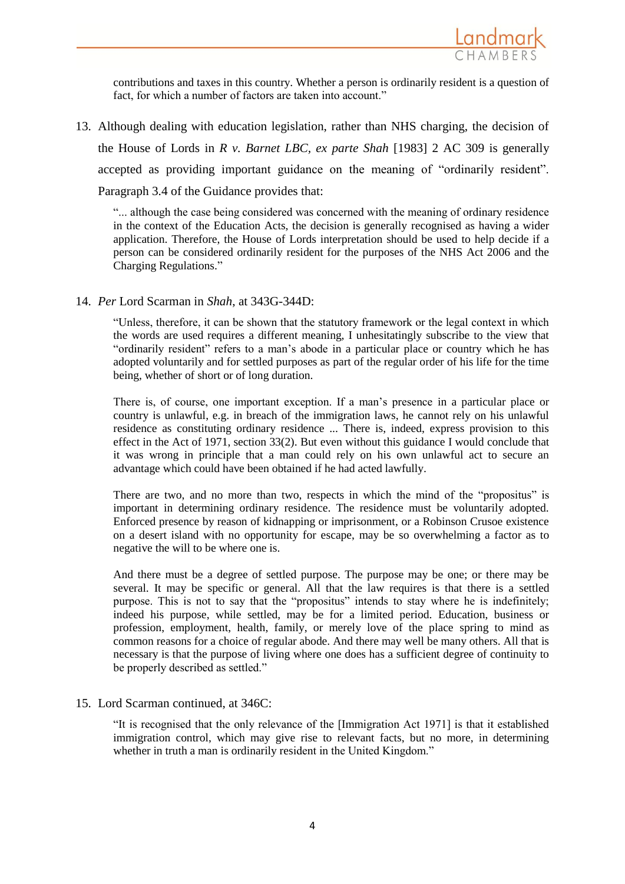

contributions and taxes in this country. Whether a person is ordinarily resident is a question of fact, for which a number of factors are taken into account."

13. Although dealing with education legislation, rather than NHS charging, the decision of the House of Lords in *R v. Barnet LBC, ex parte Shah* [1983] 2 AC 309 is generally accepted as providing important guidance on the meaning of "ordinarily resident". Paragraph 3.4 of the Guidance provides that:

"... although the case being considered was concerned with the meaning of ordinary residence in the context of the Education Acts, the decision is generally recognised as having a wider application. Therefore, the House of Lords interpretation should be used to help decide if a person can be considered ordinarily resident for the purposes of the NHS Act 2006 and the Charging Regulations."

#### 14. *Per* Lord Scarman in *Shah*, at 343G-344D:

"Unless, therefore, it can be shown that the statutory framework or the legal context in which the words are used requires a different meaning, I unhesitatingly subscribe to the view that "ordinarily resident" refers to a man's abode in a particular place or country which he has adopted voluntarily and for settled purposes as part of the regular order of his life for the time being, whether of short or of long duration.

There is, of course, one important exception. If a man's presence in a particular place or country is unlawful, e.g. in breach of the immigration laws, he cannot rely on his unlawful residence as constituting ordinary residence ... There is, indeed, express provision to this effect in the Act of 1971, section 33(2). But even without this guidance I would conclude that it was wrong in principle that a man could rely on his own unlawful act to secure an advantage which could have been obtained if he had acted lawfully.

There are two, and no more than two, respects in which the mind of the "propositus" is important in determining ordinary residence. The residence must be voluntarily adopted. Enforced presence by reason of kidnapping or imprisonment, or a Robinson Crusoe existence on a desert island with no opportunity for escape, may be so overwhelming a factor as to negative the will to be where one is.

And there must be a degree of settled purpose. The purpose may be one; or there may be several. It may be specific or general. All that the law requires is that there is a settled purpose. This is not to say that the "propositus" intends to stay where he is indefinitely; indeed his purpose, while settled, may be for a limited period. Education, business or profession, employment, health, family, or merely love of the place spring to mind as common reasons for a choice of regular abode. And there may well be many others. All that is necessary is that the purpose of living where one does has a sufficient degree of continuity to be properly described as settled."

#### 15. Lord Scarman continued, at 346C:

"It is recognised that the only relevance of the [Immigration Act 1971] is that it established immigration control, which may give rise to relevant facts, but no more, in determining whether in truth a man is ordinarily resident in the United Kingdom."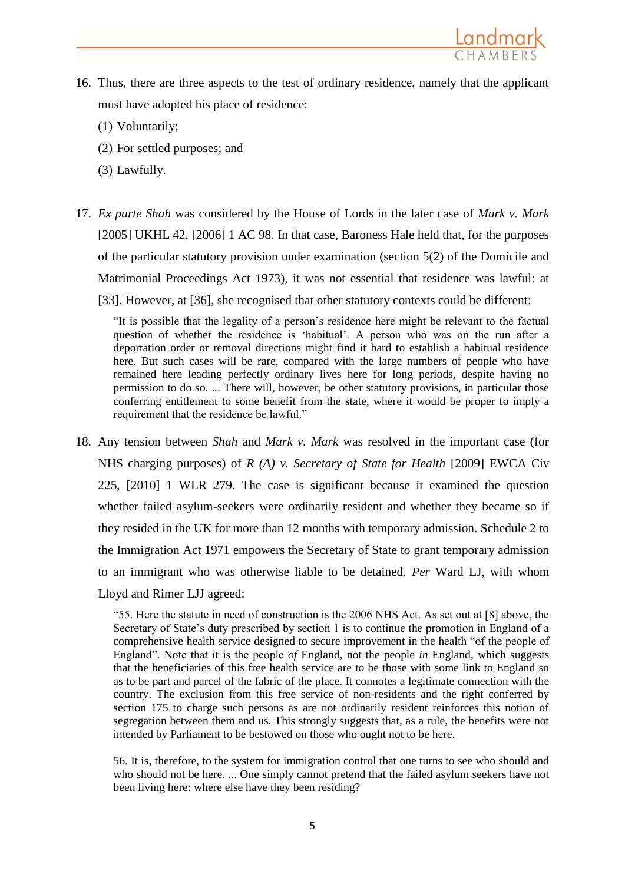

- 16. Thus, there are three aspects to the test of ordinary residence, namely that the applicant must have adopted his place of residence:
	- (1) Voluntarily;
	- (2) For settled purposes; and
	- (3) Lawfully.
- 17. *Ex parte Shah* was considered by the House of Lords in the later case of *Mark v. Mark* [2005] UKHL 42, [2006] 1 AC 98. In that case, Baroness Hale held that, for the purposes of the particular statutory provision under examination (section 5(2) of the Domicile and Matrimonial Proceedings Act 1973), it was not essential that residence was lawful: at [33]. However, at [36], she recognised that other statutory contexts could be different:

"It is possible that the legality of a person's residence here might be relevant to the factual question of whether the residence is 'habitual'. A person who was on the run after a deportation order or removal directions might find it hard to establish a habitual residence here. But such cases will be rare, compared with the large numbers of people who have remained here leading perfectly ordinary lives here for long periods, despite having no permission to do so. ... There will, however, be other statutory provisions, in particular those conferring entitlement to some benefit from the state, where it would be proper to imply a requirement that the residence be lawful."

18. Any tension between *Shah* and *Mark v. Mark* was resolved in the important case (for NHS charging purposes) of *R (A) v. Secretary of State for Health* [2009] EWCA Civ 225, [2010] 1 WLR 279. The case is significant because it examined the question whether failed asylum-seekers were ordinarily resident and whether they became so if they resided in the UK for more than 12 months with temporary admission. Schedule 2 to the Immigration Act 1971 empowers the Secretary of State to grant temporary admission to an immigrant who was otherwise liable to be detained. *Per* Ward LJ, with whom Lloyd and Rimer LJJ agreed:

"55. Here the statute in need of construction is the 2006 NHS Act. As set out at [8] above, the Secretary of State's duty prescribed by section 1 is to continue the promotion in England of a comprehensive health service designed to secure improvement in the health "of the people of England". Note that it is the people *of* England, not the people *in* England, which suggests that the beneficiaries of this free health service are to be those with some link to England so as to be part and parcel of the fabric of the place. It connotes a legitimate connection with the country. The exclusion from this free service of non-residents and the right conferred by section 175 to charge such persons as are not ordinarily resident reinforces this notion of segregation between them and us. This strongly suggests that, as a rule, the benefits were not intended by Parliament to be bestowed on those who ought not to be here.

56. It is, therefore, to the system for immigration control that one turns to see who should and who should not be here. ... One simply cannot pretend that the failed asylum seekers have not been living here: where else have they been residing?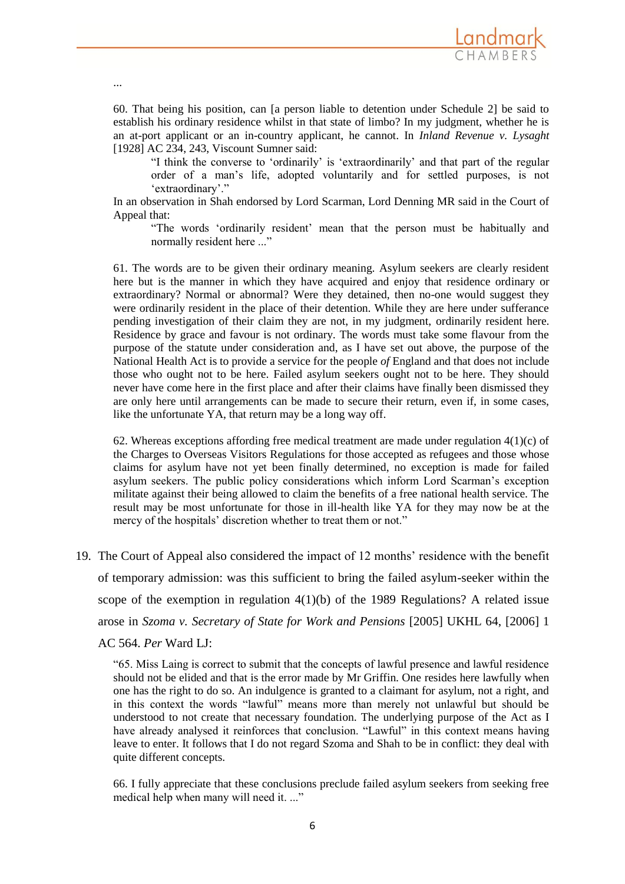

60. That being his position, can [a person liable to detention under Schedule 2] be said to establish his ordinary residence whilst in that state of limbo? In my judgment, whether he is an at-port applicant or an in-country applicant, he cannot. In *Inland Revenue v. Lysaght*  [1928] AC 234, 243, Viscount Sumner said:

...

"I think the converse to 'ordinarily' is 'extraordinarily' and that part of the regular order of a man's life, adopted voluntarily and for settled purposes, is not 'extraordinary'."

In an observation in Shah endorsed by Lord Scarman, Lord Denning MR said in the Court of Appeal that:

"The words 'ordinarily resident' mean that the person must be habitually and normally resident here ..."

61. The words are to be given their ordinary meaning. Asylum seekers are clearly resident here but is the manner in which they have acquired and enjoy that residence ordinary or extraordinary? Normal or abnormal? Were they detained, then no-one would suggest they were ordinarily resident in the place of their detention. While they are here under sufferance pending investigation of their claim they are not, in my judgment, ordinarily resident here. Residence by grace and favour is not ordinary. The words must take some flavour from the purpose of the statute under consideration and, as I have set out above, the purpose of the National Health Act is to provide a service for the people *of* England and that does not include those who ought not to be here. Failed asylum seekers ought not to be here. They should never have come here in the first place and after their claims have finally been dismissed they are only here until arrangements can be made to secure their return, even if, in some cases, like the unfortunate YA, that return may be a long way off.

62. Whereas exceptions affording free medical treatment are made under regulation  $4(1)(c)$  of the Charges to Overseas Visitors Regulations for those accepted as refugees and those whose claims for asylum have not yet been finally determined, no exception is made for failed asylum seekers. The public policy considerations which inform Lord Scarman's exception militate against their being allowed to claim the benefits of a free national health service. The result may be most unfortunate for those in ill-health like YA for they may now be at the mercy of the hospitals' discretion whether to treat them or not."

19. The Court of Appeal also considered the impact of 12 months' residence with the benefit of temporary admission: was this sufficient to bring the failed asylum-seeker within the scope of the exemption in regulation 4(1)(b) of the 1989 Regulations? A related issue arose in *Szoma v. Secretary of State for Work and Pensions* [2005] UKHL 64, [2006] 1 AC 564. *Per* Ward LJ:

"65. Miss Laing is correct to submit that the concepts of lawful presence and lawful residence should not be elided and that is the error made by Mr Griffin. One resides here lawfully when one has the right to do so. An indulgence is granted to a claimant for asylum, not a right, and in this context the words "lawful" means more than merely not unlawful but should be understood to not create that necessary foundation. The underlying purpose of the Act as I have already analysed it reinforces that conclusion. "Lawful" in this context means having leave to enter. It follows that I do not regard Szoma and Shah to be in conflict: they deal with quite different concepts.

66. I fully appreciate that these conclusions preclude failed asylum seekers from seeking free medical help when many will need it. ..."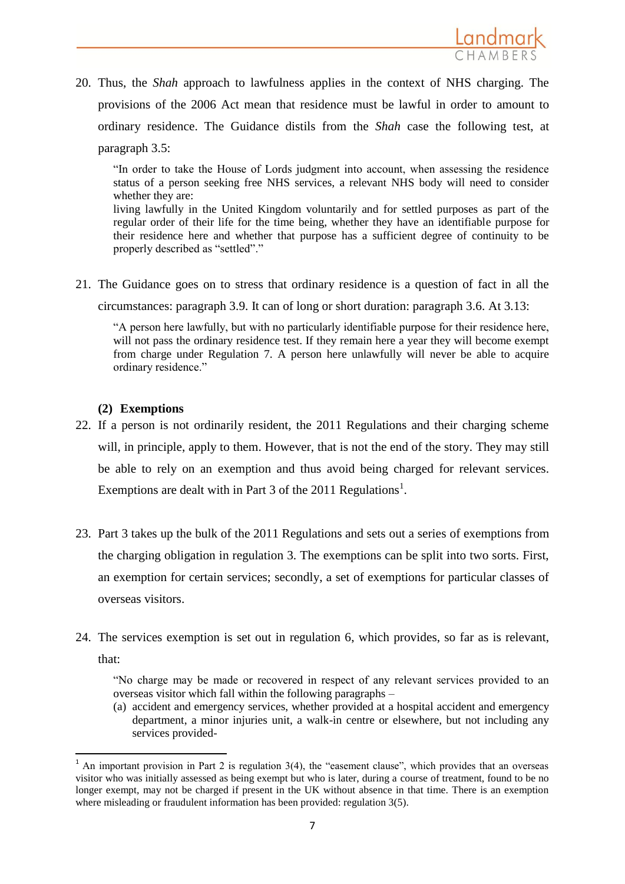

20. Thus, the *Shah* approach to lawfulness applies in the context of NHS charging. The provisions of the 2006 Act mean that residence must be lawful in order to amount to ordinary residence. The Guidance distils from the *Shah* case the following test, at paragraph 3.5:

"In order to take the House of Lords judgment into account, when assessing the residence status of a person seeking free NHS services, a relevant NHS body will need to consider whether they are: living lawfully in the United Kingdom voluntarily and for settled purposes as part of the

regular order of their life for the time being, whether they have an identifiable purpose for their residence here and whether that purpose has a sufficient degree of continuity to be properly described as "settled"."

21. The Guidance goes on to stress that ordinary residence is a question of fact in all the

circumstances: paragraph 3.9. It can of long or short duration: paragraph 3.6. At 3.13:

"A person here lawfully, but with no particularly identifiable purpose for their residence here, will not pass the ordinary residence test. If they remain here a year they will become exempt from charge under Regulation 7. A person here unlawfully will never be able to acquire ordinary residence."

# **(2) Exemptions**

**.** 

- 22. If a person is not ordinarily resident, the 2011 Regulations and their charging scheme will, in principle, apply to them. However, that is not the end of the story. They may still be able to rely on an exemption and thus avoid being charged for relevant services. Exemptions are dealt with in Part 3 of the 2011 Regulations<sup>1</sup>.
- 23. Part 3 takes up the bulk of the 2011 Regulations and sets out a series of exemptions from the charging obligation in regulation 3. The exemptions can be split into two sorts. First, an exemption for certain services; secondly, a set of exemptions for particular classes of overseas visitors.
- 24. The services exemption is set out in regulation 6, which provides, so far as is relevant, that:

"No charge may be made or recovered in respect of any relevant services provided to an overseas visitor which fall within the following paragraphs –

(a) accident and emergency services, whether provided at a hospital accident and emergency department, a minor injuries unit, a walk-in centre or elsewhere, but not including any services provided-

<sup>&</sup>lt;sup>1</sup> An important provision in Part 2 is regulation  $3(4)$ , the "easement clause", which provides that an overseas visitor who was initially assessed as being exempt but who is later, during a course of treatment, found to be no longer exempt, may not be charged if present in the UK without absence in that time. There is an exemption where misleading or fraudulent information has been provided: regulation 3(5).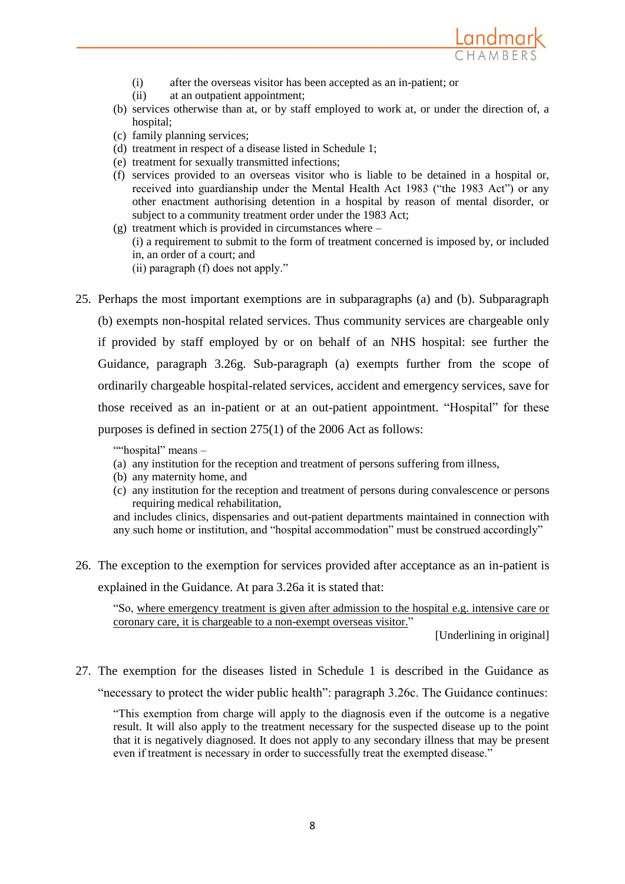

- (ii) at an outpatient appointment;
- (b) services otherwise than at, or by staff employed to work at, or under the direction of, a hospital;
- (c) family planning services;
- (d) treatment in respect of a disease listed in Schedule 1;
- (e) treatment for sexually transmitted infections;
- (f) services provided to an overseas visitor who is liable to be detained in a hospital or, received into guardianship under the Mental Health Act 1983 ("the 1983 Act") or any other enactment authorising detention in a hospital by reason of mental disorder, or subject to a community treatment order under the 1983 Act;
- (g) treatment which is provided in circumstances where (i) a requirement to submit to the form of treatment concerned is imposed by, or included in, an order of a court; and
	- (ii) paragraph (f) does not apply."
- 25. Perhaps the most important exemptions are in subparagraphs (a) and (b). Subparagraph

(b) exempts non-hospital related services. Thus community services are chargeable only if provided by staff employed by or on behalf of an NHS hospital: see further the Guidance, paragraph 3.26g. Sub-paragraph (a) exempts further from the scope of ordinarily chargeable hospital-related services, accident and emergency services, save for those received as an in-patient or at an out-patient appointment. "Hospital" for these purposes is defined in section 275(1) of the 2006 Act as follows:

""hospital" means -

- (a) any institution for the reception and treatment of persons suffering from illness,
- (b) any maternity home, and
- (c) any institution for the reception and treatment of persons during convalescence or persons requiring medical rehabilitation,

and includes clinics, dispensaries and out-patient departments maintained in connection with any such home or institution, and "hospital accommodation" must be construed accordingly"

26. The exception to the exemption for services provided after acceptance as an in-patient is

explained in the Guidance. At para 3.26a it is stated that:

"So, where emergency treatment is given after admission to the hospital e.g. intensive care or coronary care, it is chargeable to a non-exempt overseas visitor."

[Underlining in original]

27. The exemption for the diseases listed in Schedule 1 is described in the Guidance as "necessary to protect the wider public health": paragraph 3.26c. The Guidance continues:

"This exemption from charge will apply to the diagnosis even if the outcome is a negative result. It will also apply to the treatment necessary for the suspected disease up to the point that it is negatively diagnosed. It does not apply to any secondary illness that may be present even if treatment is necessary in order to successfully treat the exempted disease."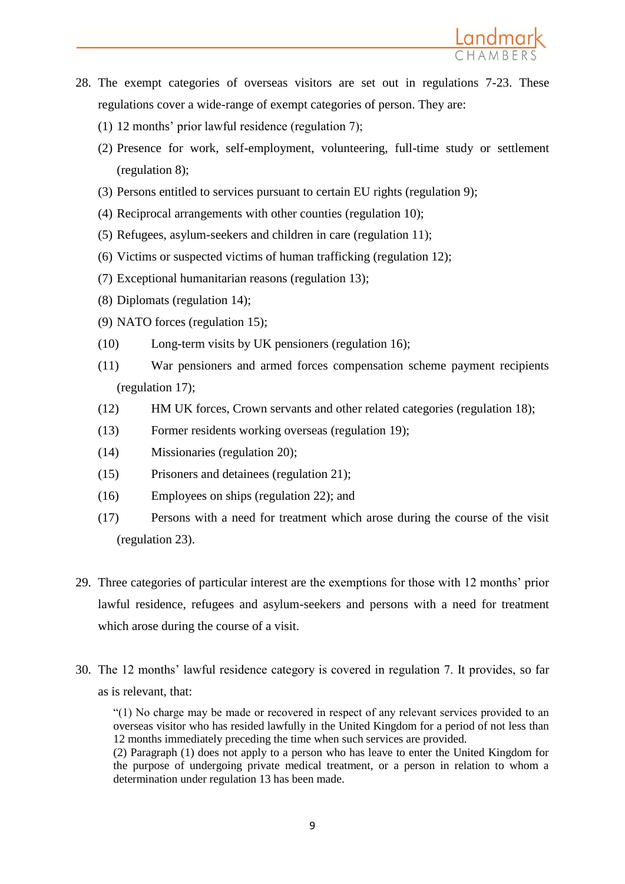

- 28. The exempt categories of overseas visitors are set out in regulations 7-23. These regulations cover a wide-range of exempt categories of person. They are:
	- (1) 12 months' prior lawful residence (regulation 7);
	- (2) Presence for work, self-employment, volunteering, full-time study or settlement (regulation 8);
	- (3) Persons entitled to services pursuant to certain EU rights (regulation 9);
	- (4) Reciprocal arrangements with other counties (regulation 10);
	- (5) Refugees, asylum-seekers and children in care (regulation 11);
	- (6) Victims or suspected victims of human trafficking (regulation 12);
	- (7) Exceptional humanitarian reasons (regulation 13);
	- (8) Diplomats (regulation 14);
	- (9) NATO forces (regulation 15);
	- (10) Long-term visits by UK pensioners (regulation 16);
	- (11) War pensioners and armed forces compensation scheme payment recipients (regulation 17);
	- (12) HM UK forces, Crown servants and other related categories (regulation 18);
	- (13) Former residents working overseas (regulation 19);
	- (14) Missionaries (regulation 20);
	- (15) Prisoners and detainees (regulation 21);
	- (16) Employees on ships (regulation 22); and
	- (17) Persons with a need for treatment which arose during the course of the visit (regulation 23).
- 29. Three categories of particular interest are the exemptions for those with 12 months' prior lawful residence, refugees and asylum-seekers and persons with a need for treatment which arose during the course of a visit.
- 30. The 12 months' lawful residence category is covered in regulation 7. It provides, so far as is relevant, that:

"(1) No charge may be made or recovered in respect of any relevant services provided to an overseas visitor who has resided lawfully in the United Kingdom for a period of not less than 12 months immediately preceding the time when such services are provided.

(2) Paragraph (1) does not apply to a person who has leave to enter the United Kingdom for the purpose of undergoing private medical treatment, or a person in relation to whom a determination under regulation 13 has been made.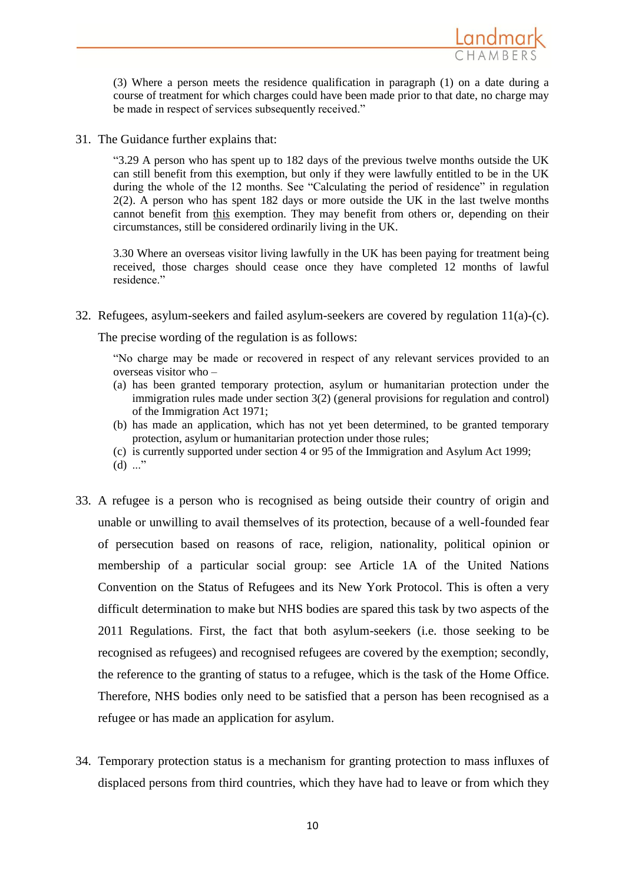

31. The Guidance further explains that:

"3.29 A person who has spent up to 182 days of the previous twelve months outside the UK can still benefit from this exemption, but only if they were lawfully entitled to be in the UK during the whole of the 12 months. See "Calculating the period of residence" in regulation 2(2). A person who has spent 182 days or more outside the UK in the last twelve months cannot benefit from this exemption. They may benefit from others or, depending on their circumstances, still be considered ordinarily living in the UK.

3.30 Where an overseas visitor living lawfully in the UK has been paying for treatment being received, those charges should cease once they have completed 12 months of lawful residence."

32. Refugees, asylum-seekers and failed asylum-seekers are covered by regulation 11(a)-(c).

The precise wording of the regulation is as follows:

"No charge may be made or recovered in respect of any relevant services provided to an overseas visitor who –

- (a) has been granted temporary protection, asylum or humanitarian protection under the immigration rules made under section 3(2) (general provisions for regulation and control) of the Immigration Act 1971;
- (b) has made an application, which has not yet been determined, to be granted temporary protection, asylum or humanitarian protection under those rules;
- (c) is currently supported under section 4 or 95 of the Immigration and Asylum Act 1999;
- $(d)$  ..."
- 33. A refugee is a person who is recognised as being outside their country of origin and unable or unwilling to avail themselves of its protection, because of a well-founded fear of persecution based on reasons of race, religion, nationality, political opinion or membership of a particular social group: see Article 1A of the United Nations Convention on the Status of Refugees and its New York Protocol. This is often a very difficult determination to make but NHS bodies are spared this task by two aspects of the 2011 Regulations. First, the fact that both asylum-seekers (i.e. those seeking to be recognised as refugees) and recognised refugees are covered by the exemption; secondly, the reference to the granting of status to a refugee, which is the task of the Home Office. Therefore, NHS bodies only need to be satisfied that a person has been recognised as a refugee or has made an application for asylum.
- 34. Temporary protection status is a mechanism for granting protection to mass influxes of displaced persons from third countries, which they have had to leave or from which they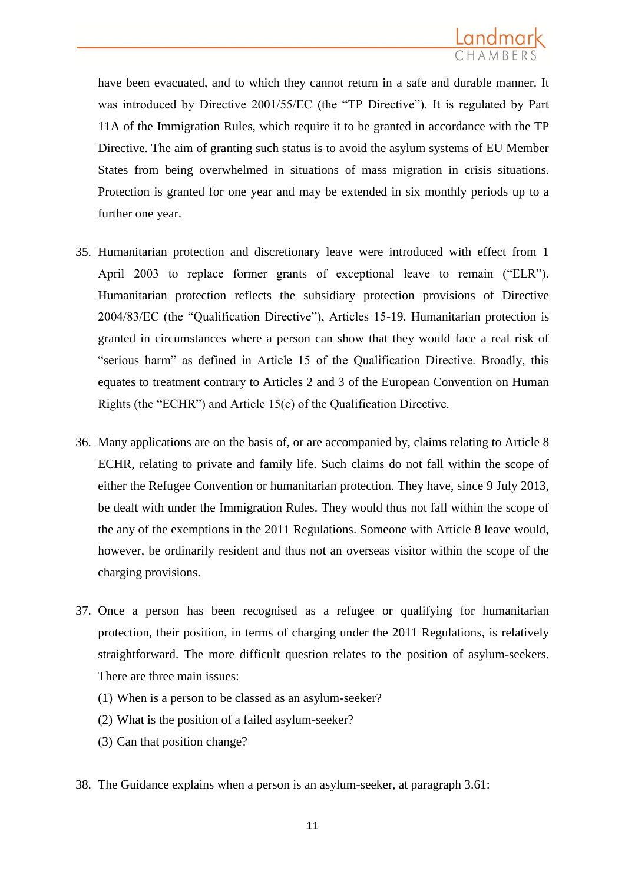

have been evacuated, and to which they cannot return in a safe and durable manner. It was introduced by Directive 2001/55/EC (the "TP Directive"). It is regulated by Part 11A of the Immigration Rules, which require it to be granted in accordance with the TP Directive. The aim of granting such status is to avoid the asylum systems of EU Member States from being overwhelmed in situations of mass migration in crisis situations. Protection is granted for one year and may be extended in six monthly periods up to a further one year.

- 35. Humanitarian protection and discretionary leave were introduced with effect from 1 April 2003 to replace former grants of exceptional leave to remain ("ELR"). Humanitarian protection reflects the subsidiary protection provisions of Directive 2004/83/EC (the "Qualification Directive"), Articles 15-19. Humanitarian protection is granted in circumstances where a person can show that they would face a real risk of "serious harm" as defined in Article 15 of the Qualification Directive. Broadly, this equates to treatment contrary to Articles 2 and 3 of the European Convention on Human Rights (the "ECHR") and Article 15(c) of the Qualification Directive.
- 36. Many applications are on the basis of, or are accompanied by, claims relating to Article 8 ECHR, relating to private and family life. Such claims do not fall within the scope of either the Refugee Convention or humanitarian protection. They have, since 9 July 2013, be dealt with under the Immigration Rules. They would thus not fall within the scope of the any of the exemptions in the 2011 Regulations. Someone with Article 8 leave would, however, be ordinarily resident and thus not an overseas visitor within the scope of the charging provisions.
- 37. Once a person has been recognised as a refugee or qualifying for humanitarian protection, their position, in terms of charging under the 2011 Regulations, is relatively straightforward. The more difficult question relates to the position of asylum-seekers. There are three main issues:
	- (1) When is a person to be classed as an asylum-seeker?
	- (2) What is the position of a failed asylum-seeker?
	- (3) Can that position change?
- 38. The Guidance explains when a person is an asylum-seeker, at paragraph 3.61: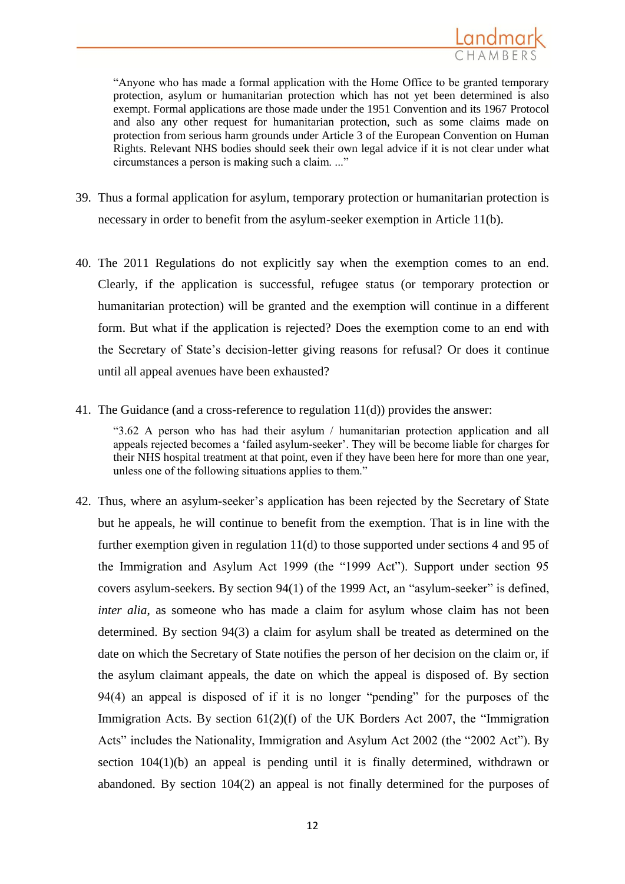

"Anyone who has made a formal application with the Home Office to be granted temporary protection, asylum or humanitarian protection which has not yet been determined is also exempt. Formal applications are those made under the 1951 Convention and its 1967 Protocol and also any other request for humanitarian protection, such as some claims made on protection from serious harm grounds under Article 3 of the European Convention on Human Rights. Relevant NHS bodies should seek their own legal advice if it is not clear under what circumstances a person is making such a claim. ..."

- 39. Thus a formal application for asylum, temporary protection or humanitarian protection is necessary in order to benefit from the asylum-seeker exemption in Article 11(b).
- 40. The 2011 Regulations do not explicitly say when the exemption comes to an end. Clearly, if the application is successful, refugee status (or temporary protection or humanitarian protection) will be granted and the exemption will continue in a different form. But what if the application is rejected? Does the exemption come to an end with the Secretary of State's decision-letter giving reasons for refusal? Or does it continue until all appeal avenues have been exhausted?
- 41. The Guidance (and a cross-reference to regulation  $11(d)$ ) provides the answer:

"3.62 A person who has had their asylum / humanitarian protection application and all appeals rejected becomes a 'failed asylum-seeker'. They will be become liable for charges for their NHS hospital treatment at that point, even if they have been here for more than one year, unless one of the following situations applies to them."

42. Thus, where an asylum-seeker's application has been rejected by the Secretary of State but he appeals, he will continue to benefit from the exemption. That is in line with the further exemption given in regulation 11(d) to those supported under sections 4 and 95 of the Immigration and Asylum Act 1999 (the "1999 Act"). Support under section 95 covers asylum-seekers. By section 94(1) of the 1999 Act, an "asylum-seeker" is defined, *inter alia*, as someone who has made a claim for asylum whose claim has not been determined. By section 94(3) a claim for asylum shall be treated as determined on the date on which the Secretary of State notifies the person of her decision on the claim or, if the asylum claimant appeals, the date on which the appeal is disposed of. By section 94(4) an appeal is disposed of if it is no longer "pending" for the purposes of the Immigration Acts. By section 61(2)(f) of the UK Borders Act 2007, the "Immigration Acts" includes the Nationality, Immigration and Asylum Act 2002 (the "2002 Act"). By section 104(1)(b) an appeal is pending until it is finally determined, withdrawn or abandoned. By section 104(2) an appeal is not finally determined for the purposes of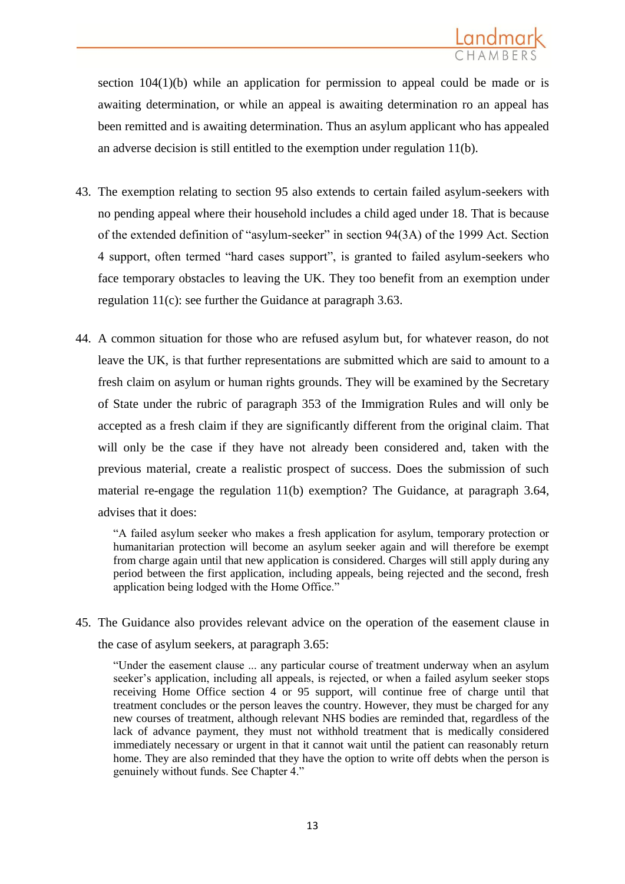

section 104(1)(b) while an application for permission to appeal could be made or is awaiting determination, or while an appeal is awaiting determination ro an appeal has been remitted and is awaiting determination. Thus an asylum applicant who has appealed an adverse decision is still entitled to the exemption under regulation 11(b).

- 43. The exemption relating to section 95 also extends to certain failed asylum-seekers with no pending appeal where their household includes a child aged under 18. That is because of the extended definition of "asylum-seeker" in section 94(3A) of the 1999 Act. Section 4 support, often termed "hard cases support", is granted to failed asylum-seekers who face temporary obstacles to leaving the UK. They too benefit from an exemption under regulation 11(c): see further the Guidance at paragraph 3.63.
- 44. A common situation for those who are refused asylum but, for whatever reason, do not leave the UK, is that further representations are submitted which are said to amount to a fresh claim on asylum or human rights grounds. They will be examined by the Secretary of State under the rubric of paragraph 353 of the Immigration Rules and will only be accepted as a fresh claim if they are significantly different from the original claim. That will only be the case if they have not already been considered and, taken with the previous material, create a realistic prospect of success. Does the submission of such material re-engage the regulation 11(b) exemption? The Guidance, at paragraph 3.64, advises that it does:

"A failed asylum seeker who makes a fresh application for asylum, temporary protection or humanitarian protection will become an asylum seeker again and will therefore be exempt from charge again until that new application is considered. Charges will still apply during any period between the first application, including appeals, being rejected and the second, fresh application being lodged with the Home Office."

45. The Guidance also provides relevant advice on the operation of the easement clause in the case of asylum seekers, at paragraph 3.65:

"Under the easement clause ... any particular course of treatment underway when an asylum seeker's application, including all appeals, is rejected, or when a failed asylum seeker stops receiving Home Office section 4 or 95 support, will continue free of charge until that treatment concludes or the person leaves the country. However, they must be charged for any new courses of treatment, although relevant NHS bodies are reminded that, regardless of the lack of advance payment, they must not withhold treatment that is medically considered immediately necessary or urgent in that it cannot wait until the patient can reasonably return home. They are also reminded that they have the option to write off debts when the person is genuinely without funds. See Chapter 4."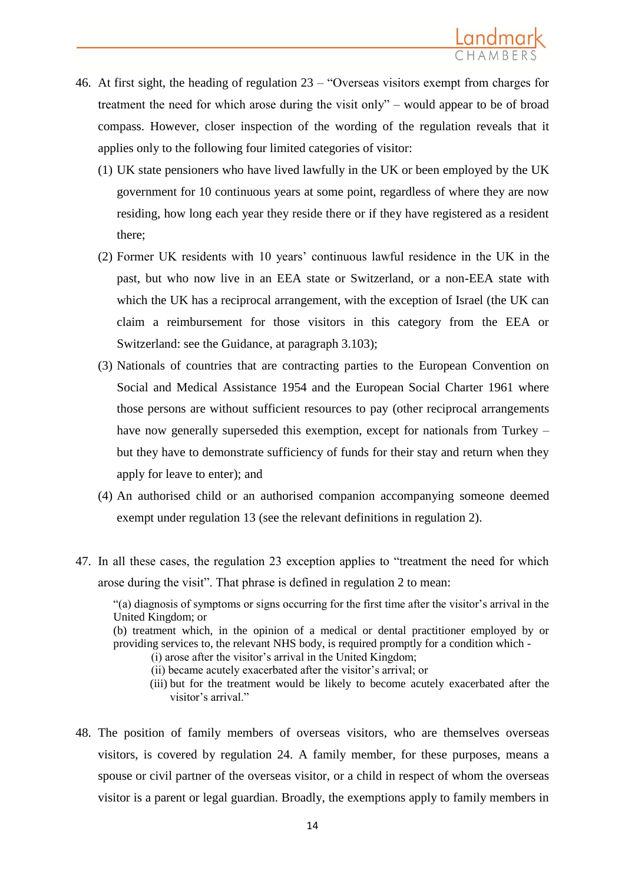- 46. At first sight, the heading of regulation 23 "Overseas visitors exempt from charges for treatment the need for which arose during the visit only" – would appear to be of broad compass. However, closer inspection of the wording of the regulation reveals that it applies only to the following four limited categories of visitor:
	- (1) UK state pensioners who have lived lawfully in the UK or been employed by the UK government for 10 continuous years at some point, regardless of where they are now residing, how long each year they reside there or if they have registered as a resident there;
	- (2) Former UK residents with 10 years' continuous lawful residence in the UK in the past, but who now live in an EEA state or Switzerland, or a non-EEA state with which the UK has a reciprocal arrangement, with the exception of Israel (the UK can claim a reimbursement for those visitors in this category from the EEA or Switzerland: see the Guidance, at paragraph 3.103);
	- (3) Nationals of countries that are contracting parties to the European Convention on Social and Medical Assistance 1954 and the European Social Charter 1961 where those persons are without sufficient resources to pay (other reciprocal arrangements have now generally superseded this exemption, except for nationals from Turkey – but they have to demonstrate sufficiency of funds for their stay and return when they apply for leave to enter); and
	- (4) An authorised child or an authorised companion accompanying someone deemed exempt under regulation 13 (see the relevant definitions in regulation 2).
- 47. In all these cases, the regulation 23 exception applies to "treatment the need for which arose during the visit". That phrase is defined in regulation 2 to mean:

"(a) diagnosis of symptoms or signs occurring for the first time after the visitor's arrival in the United Kingdom; or

(b) treatment which, in the opinion of a medical or dental practitioner employed by or providing services to, the relevant NHS body, is required promptly for a condition which -

(i) arose after the visitor's arrival in the United Kingdom;

- (ii) became acutely exacerbated after the visitor's arrival; or
- (iii) but for the treatment would be likely to become acutely exacerbated after the visitor's arrival."
- 48. The position of family members of overseas visitors, who are themselves overseas visitors, is covered by regulation 24. A family member, for these purposes, means a spouse or civil partner of the overseas visitor, or a child in respect of whom the overseas visitor is a parent or legal guardian. Broadly, the exemptions apply to family members in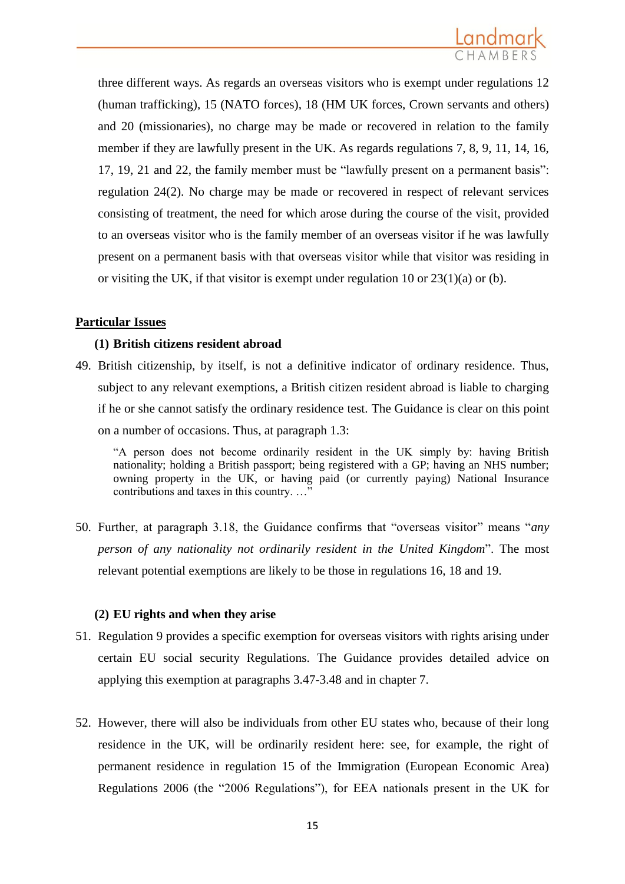

three different ways. As regards an overseas visitors who is exempt under regulations 12 (human trafficking), 15 (NATO forces), 18 (HM UK forces, Crown servants and others) and 20 (missionaries), no charge may be made or recovered in relation to the family member if they are lawfully present in the UK. As regards regulations 7, 8, 9, 11, 14, 16, 17, 19, 21 and 22, the family member must be "lawfully present on a permanent basis": regulation 24(2). No charge may be made or recovered in respect of relevant services consisting of treatment, the need for which arose during the course of the visit, provided to an overseas visitor who is the family member of an overseas visitor if he was lawfully present on a permanent basis with that overseas visitor while that visitor was residing in or visiting the UK, if that visitor is exempt under regulation 10 or 23(1)(a) or (b).

### **Particular Issues**

#### **(1) British citizens resident abroad**

49. British citizenship, by itself, is not a definitive indicator of ordinary residence. Thus, subject to any relevant exemptions, a British citizen resident abroad is liable to charging if he or she cannot satisfy the ordinary residence test. The Guidance is clear on this point on a number of occasions. Thus, at paragraph 1.3:

"A person does not become ordinarily resident in the UK simply by: having British nationality; holding a British passport; being registered with a GP; having an NHS number; owning property in the UK, or having paid (or currently paying) National Insurance contributions and taxes in this country.  $\dots$ 

50. Further, at paragraph 3.18, the Guidance confirms that "overseas visitor" means "*any person of any nationality not ordinarily resident in the United Kingdom*". The most relevant potential exemptions are likely to be those in regulations 16, 18 and 19.

#### **(2) EU rights and when they arise**

- 51. Regulation 9 provides a specific exemption for overseas visitors with rights arising under certain EU social security Regulations. The Guidance provides detailed advice on applying this exemption at paragraphs 3.47-3.48 and in chapter 7.
- 52. However, there will also be individuals from other EU states who, because of their long residence in the UK, will be ordinarily resident here: see, for example, the right of permanent residence in regulation 15 of the Immigration (European Economic Area) Regulations 2006 (the "2006 Regulations"), for EEA nationals present in the UK for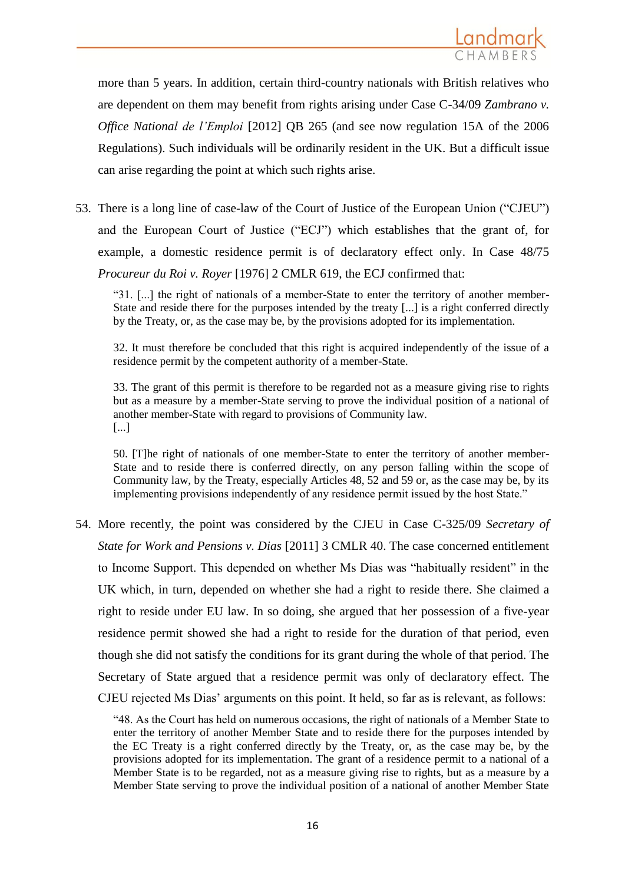

more than 5 years. In addition, certain third-country nationals with British relatives who are dependent on them may benefit from rights arising under Case C-34/09 *Zambrano v. Office National de l'Emploi* [2012] QB 265 (and see now regulation 15A of the 2006 Regulations). Such individuals will be ordinarily resident in the UK. But a difficult issue can arise regarding the point at which such rights arise.

53. There is a long line of case-law of the Court of Justice of the European Union ("CJEU") and the European Court of Justice ("ECJ") which establishes that the grant of, for example, a domestic residence permit is of declaratory effect only. In Case 48/75 *Procureur du Roi v. Royer* [1976] 2 CMLR 619, the ECJ confirmed that:

"31. [...] the right of nationals of a member-State to enter the territory of another member-State and reside there for the purposes intended by the treaty [...] is a right conferred directly by the Treaty, or, as the case may be, by the provisions adopted for its implementation.

32. It must therefore be concluded that this right is acquired independently of the issue of a residence permit by the competent authority of a member-State.

33. The grant of this permit is therefore to be regarded not as a measure giving rise to rights but as a measure by a member-State serving to prove the individual position of a national of another member-State with regard to provisions of Community law. [...]

50. [T]he right of nationals of one member-State to enter the territory of another member-State and to reside there is conferred directly, on any person falling within the scope of Community law, by the Treaty, especially Articles 48, 52 and 59 or, as the case may be, by its implementing provisions independently of any residence permit issued by the host State."

54. More recently, the point was considered by the CJEU in Case C-325/09 *Secretary of State for Work and Pensions v. Dias* [2011] 3 CMLR 40. The case concerned entitlement to Income Support. This depended on whether Ms Dias was "habitually resident" in the UK which, in turn, depended on whether she had a right to reside there. She claimed a right to reside under EU law. In so doing, she argued that her possession of a five-year residence permit showed she had a right to reside for the duration of that period, even though she did not satisfy the conditions for its grant during the whole of that period. The Secretary of State argued that a residence permit was only of declaratory effect. The CJEU rejected Ms Dias' arguments on this point. It held, so far as is relevant, as follows:

"48. As the Court has held on numerous occasions, the right of nationals of a Member State to enter the territory of another Member State and to reside there for the purposes intended by the EC Treaty is a right conferred directly by the Treaty, or, as the case may be, by the provisions adopted for its implementation. The grant of a residence permit to a national of a Member State is to be regarded, not as a measure giving rise to rights, but as a measure by a Member State serving to prove the individual position of a national of another Member State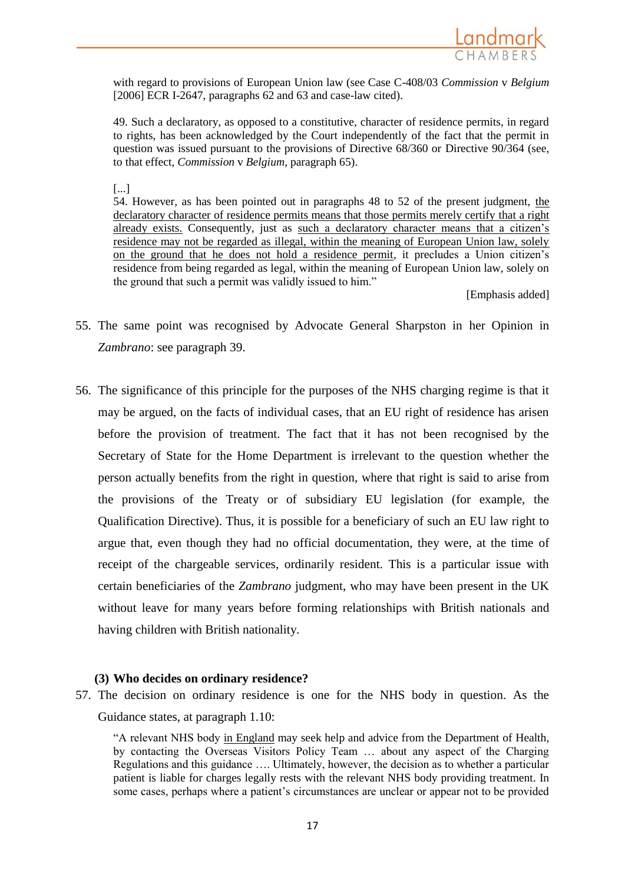

with regard to provisions of European Union law (see Case C-408/03 *Commission* v *Belgium* [2006] ECR I-2647, paragraphs 62 and 63 and case-law cited).

49. Such a declaratory, as opposed to a constitutive, character of residence permits, in regard to rights, has been acknowledged by the Court independently of the fact that the permit in question was issued pursuant to the provisions of Directive 68/360 or Directive 90/364 (see, to that effect, *Commission* v *Belgium*, paragraph 65).

[...]

54. However, as has been pointed out in paragraphs 48 to 52 of the present judgment, the declaratory character of residence permits means that those permits merely certify that a right already exists. Consequently, just as such a declaratory character means that a citizen's residence may not be regarded as illegal, within the meaning of European Union law, solely on the ground that he does not hold a residence permit, it precludes a Union citizen's residence from being regarded as legal, within the meaning of European Union law, solely on the ground that such a permit was validly issued to him."

[Emphasis added]

- 55. The same point was recognised by Advocate General Sharpston in her Opinion in *Zambrano*: see paragraph 39.
- 56. The significance of this principle for the purposes of the NHS charging regime is that it may be argued, on the facts of individual cases, that an EU right of residence has arisen before the provision of treatment. The fact that it has not been recognised by the Secretary of State for the Home Department is irrelevant to the question whether the person actually benefits from the right in question, where that right is said to arise from the provisions of the Treaty or of subsidiary EU legislation (for example, the Qualification Directive). Thus, it is possible for a beneficiary of such an EU law right to argue that, even though they had no official documentation, they were, at the time of receipt of the chargeable services, ordinarily resident. This is a particular issue with certain beneficiaries of the *Zambrano* judgment, who may have been present in the UK without leave for many years before forming relationships with British nationals and having children with British nationality.

## **(3) Who decides on ordinary residence?**

57. The decision on ordinary residence is one for the NHS body in question. As the

Guidance states, at paragraph 1.10:

"A relevant NHS body in England may seek help and advice from the Department of Health, by contacting the Overseas Visitors Policy Team … about any aspect of the Charging Regulations and this guidance …. Ultimately, however, the decision as to whether a particular patient is liable for charges legally rests with the relevant NHS body providing treatment. In some cases, perhaps where a patient's circumstances are unclear or appear not to be provided